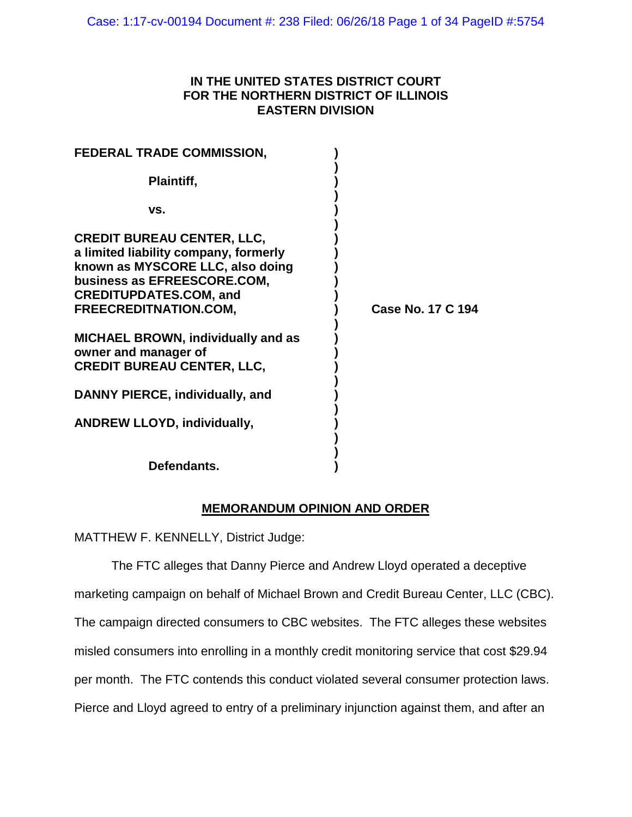## **IN THE UNITED STATES DISTRICT COURT FOR THE NORTHERN DISTRICT OF ILLINOIS EASTERN DIVISION**

| <b>FEDERAL TRADE COMMISSION,</b>                                                                                                                                                                        |                          |
|---------------------------------------------------------------------------------------------------------------------------------------------------------------------------------------------------------|--------------------------|
| Plaintiff,                                                                                                                                                                                              |                          |
| VS.                                                                                                                                                                                                     |                          |
| <b>CREDIT BUREAU CENTER, LLC,</b><br>a limited liability company, formerly<br>known as MYSCORE LLC, also doing<br>business as EFREESCORE.COM,<br><b>CREDITUPDATES.COM, and</b><br>FREECREDITNATION.COM, | <b>Case No. 17 C 194</b> |
| <b>MICHAEL BROWN, individually and as</b><br>owner and manager of<br><b>CREDIT BUREAU CENTER, LLC,</b>                                                                                                  |                          |
| DANNY PIERCE, individually, and                                                                                                                                                                         |                          |
| <b>ANDREW LLOYD, individually,</b>                                                                                                                                                                      |                          |
|                                                                                                                                                                                                         |                          |

**Defendants. )**

# **MEMORANDUM OPINION AND ORDER**

MATTHEW F. KENNELLY, District Judge:

The FTC alleges that Danny Pierce and Andrew Lloyd operated a deceptive marketing campaign on behalf of Michael Brown and Credit Bureau Center, LLC (CBC). The campaign directed consumers to CBC websites. The FTC alleges these websites misled consumers into enrolling in a monthly credit monitoring service that cost \$29.94 per month. The FTC contends this conduct violated several consumer protection laws. Pierce and Lloyd agreed to entry of a preliminary injunction against them, and after an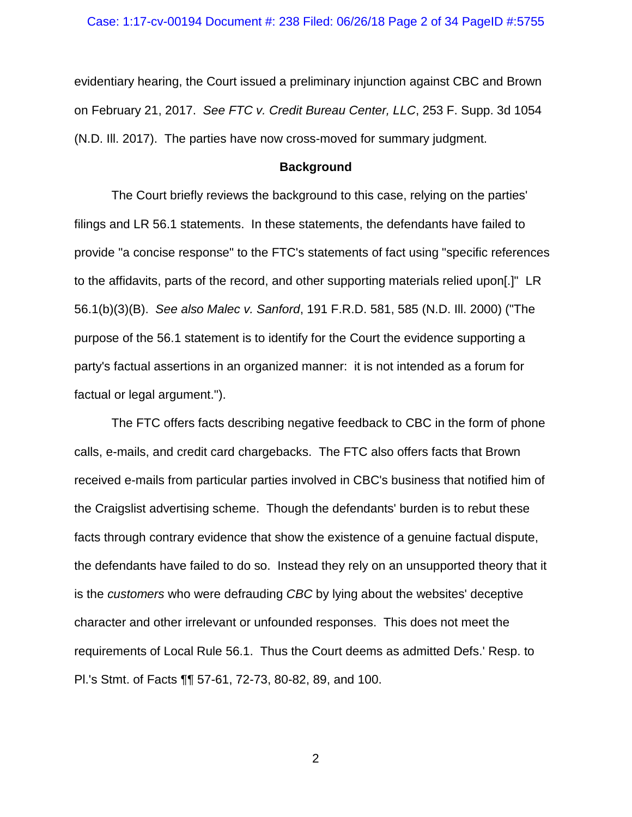evidentiary hearing, the Court issued a preliminary injunction against CBC and Brown on February 21, 2017. *See FTC v. Credit Bureau Center, LLC*, 253 F. Supp. 3d 1054 (N.D. Ill. 2017). The parties have now cross-moved for summary judgment.

### **Background**

The Court briefly reviews the background to this case, relying on the parties' filings and LR 56.1 statements. In these statements, the defendants have failed to provide "a concise response" to the FTC's statements of fact using "specific references to the affidavits, parts of the record, and other supporting materials relied upon[.]" LR 56.1(b)(3)(B). *See also Malec v. Sanford*, 191 F.R.D. 581, 585 (N.D. Ill. 2000) ("The purpose of the 56.1 statement is to identify for the Court the evidence supporting a party's factual assertions in an organized manner: it is not intended as a forum for factual or legal argument.").

The FTC offers facts describing negative feedback to CBC in the form of phone calls, e-mails, and credit card chargebacks. The FTC also offers facts that Brown received e-mails from particular parties involved in CBC's business that notified him of the Craigslist advertising scheme. Though the defendants' burden is to rebut these facts through contrary evidence that show the existence of a genuine factual dispute, the defendants have failed to do so. Instead they rely on an unsupported theory that it is the *customers* who were defrauding *CBC* by lying about the websites' deceptive character and other irrelevant or unfounded responses. This does not meet the requirements of Local Rule 56.1. Thus the Court deems as admitted Defs.' Resp. to Pl.'s Stmt. of Facts ¶¶ 57-61, 72-73, 80-82, 89, and 100.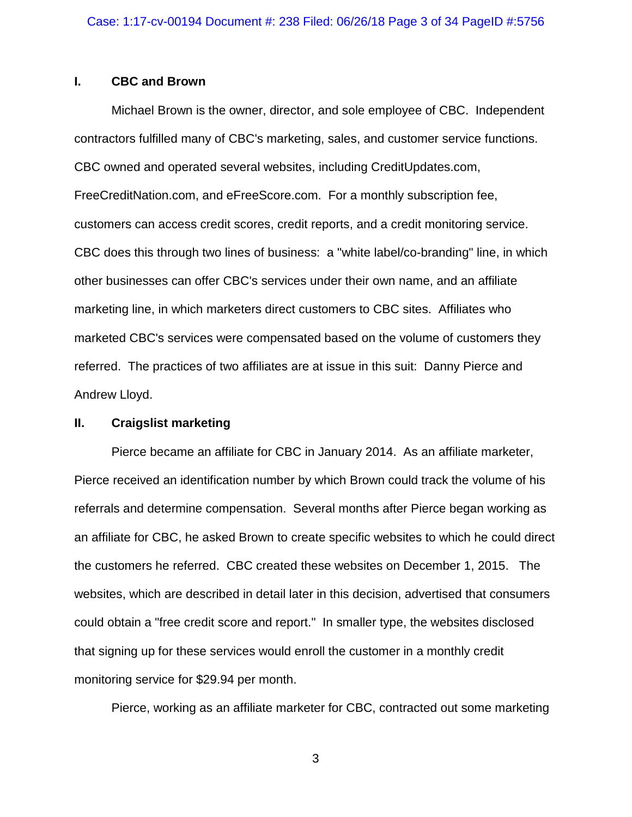## **I. CBC and Brown**

Michael Brown is the owner, director, and sole employee of CBC. Independent contractors fulfilled many of CBC's marketing, sales, and customer service functions. CBC owned and operated several websites, including CreditUpdates.com, FreeCreditNation.com, and eFreeScore.com. For a monthly subscription fee, customers can access credit scores, credit reports, and a credit monitoring service. CBC does this through two lines of business: a "white label/co-branding" line, in which other businesses can offer CBC's services under their own name, and an affiliate marketing line, in which marketers direct customers to CBC sites. Affiliates who marketed CBC's services were compensated based on the volume of customers they referred. The practices of two affiliates are at issue in this suit: Danny Pierce and Andrew Lloyd.

## **II. Craigslist marketing**

Pierce became an affiliate for CBC in January 2014. As an affiliate marketer, Pierce received an identification number by which Brown could track the volume of his referrals and determine compensation. Several months after Pierce began working as an affiliate for CBC, he asked Brown to create specific websites to which he could direct the customers he referred. CBC created these websites on December 1, 2015. The websites, which are described in detail later in this decision, advertised that consumers could obtain a "free credit score and report." In smaller type, the websites disclosed that signing up for these services would enroll the customer in a monthly credit monitoring service for \$29.94 per month.

Pierce, working as an affiliate marketer for CBC, contracted out some marketing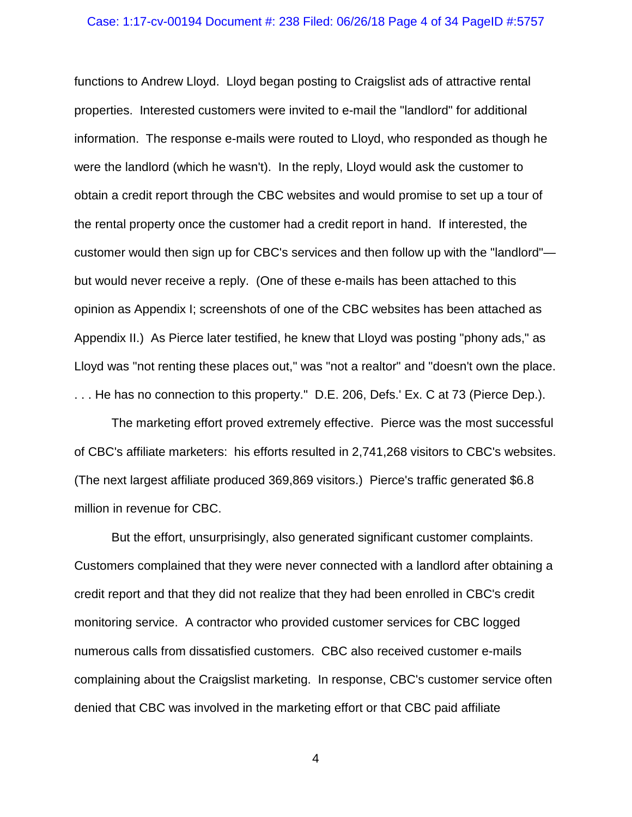### Case: 1:17-cv-00194 Document #: 238 Filed: 06/26/18 Page 4 of 34 PageID #:5757

functions to Andrew Lloyd. Lloyd began posting to Craigslist ads of attractive rental properties. Interested customers were invited to e-mail the "landlord" for additional information. The response e-mails were routed to Lloyd, who responded as though he were the landlord (which he wasn't). In the reply, Lloyd would ask the customer to obtain a credit report through the CBC websites and would promise to set up a tour of the rental property once the customer had a credit report in hand. If interested, the customer would then sign up for CBC's services and then follow up with the "landlord" but would never receive a reply. (One of these e-mails has been attached to this opinion as Appendix I; screenshots of one of the CBC websites has been attached as Appendix II.) As Pierce later testified, he knew that Lloyd was posting "phony ads," as Lloyd was "not renting these places out," was "not a realtor" and "doesn't own the place. . . . He has no connection to this property." D.E. 206, Defs.' Ex. C at 73 (Pierce Dep.).

The marketing effort proved extremely effective. Pierce was the most successful of CBC's affiliate marketers: his efforts resulted in 2,741,268 visitors to CBC's websites. (The next largest affiliate produced 369,869 visitors.) Pierce's traffic generated \$6.8 million in revenue for CBC.

But the effort, unsurprisingly, also generated significant customer complaints. Customers complained that they were never connected with a landlord after obtaining a credit report and that they did not realize that they had been enrolled in CBC's credit monitoring service. A contractor who provided customer services for CBC logged numerous calls from dissatisfied customers. CBC also received customer e-mails complaining about the Craigslist marketing. In response, CBC's customer service often denied that CBC was involved in the marketing effort or that CBC paid affiliate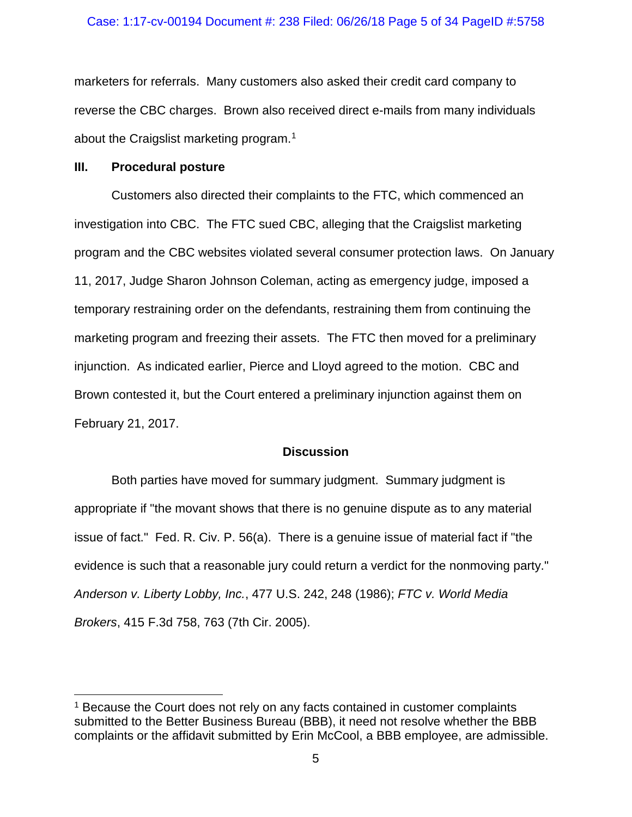### Case: 1:17-cv-00194 Document #: 238 Filed: 06/26/18 Page 5 of 34 PageID #:5758

marketers for referrals. Many customers also asked their credit card company to reverse the CBC charges. Brown also received direct e-mails from many individuals about the Craigslist marketing program. [1](#page-4-0)

### **III. Procedural posture**

Customers also directed their complaints to the FTC, which commenced an investigation into CBC. The FTC sued CBC, alleging that the Craigslist marketing program and the CBC websites violated several consumer protection laws. On January 11, 2017, Judge Sharon Johnson Coleman, acting as emergency judge, imposed a temporary restraining order on the defendants, restraining them from continuing the marketing program and freezing their assets. The FTC then moved for a preliminary injunction. As indicated earlier, Pierce and Lloyd agreed to the motion. CBC and Brown contested it, but the Court entered a preliminary injunction against them on February 21, 2017.

## **Discussion**

Both parties have moved for summary judgment. Summary judgment is appropriate if "the movant shows that there is no genuine dispute as to any material issue of fact." Fed. R. Civ. P. 56(a). There is a genuine issue of material fact if "the evidence is such that a reasonable jury could return a verdict for the nonmoving party." *Anderson v. Liberty Lobby, Inc.*, 477 U.S. 242, 248 (1986); *FTC v. World Media Brokers*, 415 F.3d 758, 763 (7th Cir. 2005).

<span id="page-4-0"></span><sup>&</sup>lt;sup>1</sup> Because the Court does not rely on any facts contained in customer complaints submitted to the Better Business Bureau (BBB), it need not resolve whether the BBB complaints or the affidavit submitted by Erin McCool, a BBB employee, are admissible.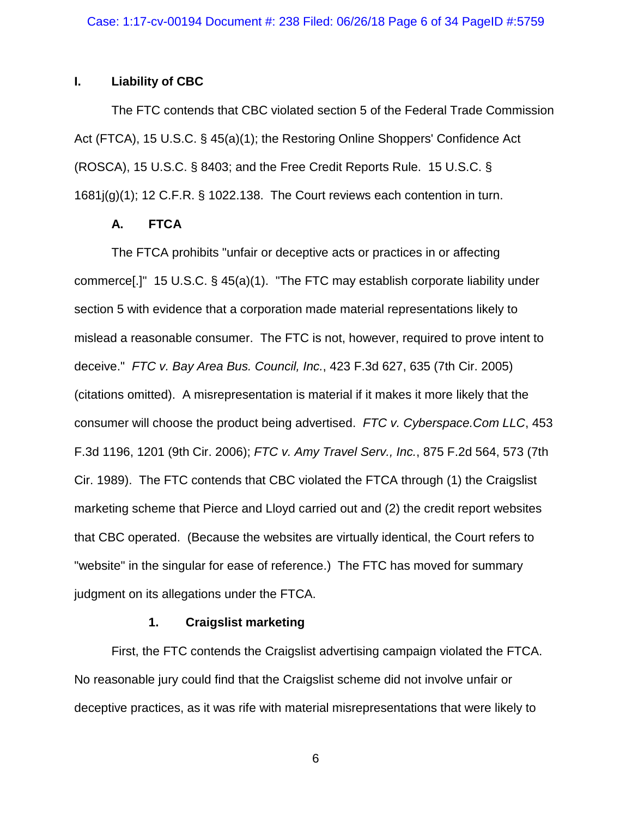## **I. Liability of CBC**

The FTC contends that CBC violated section 5 of the Federal Trade Commission Act (FTCA), 15 U.S.C. § 45(a)(1); the Restoring Online Shoppers' Confidence Act (ROSCA), 15 U.S.C. § 8403; and the Free Credit Reports Rule. 15 U.S.C. § 1681j(g)(1); 12 C.F.R. § 1022.138. The Court reviews each contention in turn.

## **A. FTCA**

The FTCA prohibits "unfair or deceptive acts or practices in or affecting commerce[.]" 15 U.S.C. § 45(a)(1). "The FTC may establish corporate liability under section 5 with evidence that a corporation made material representations likely to mislead a reasonable consumer. The FTC is not, however, required to prove intent to deceive." *FTC v. Bay Area Bus. Council, Inc.*, 423 F.3d 627, 635 (7th Cir. 2005) (citations omitted). A misrepresentation is material if it makes it more likely that the consumer will choose the product being advertised. *FTC v. Cyberspace.Com LLC*, 453 F.3d 1196, 1201 (9th Cir. 2006); *FTC v. Amy Travel Serv., Inc.*, 875 F.2d 564, 573 (7th Cir. 1989). The FTC contends that CBC violated the FTCA through (1) the Craigslist marketing scheme that Pierce and Lloyd carried out and (2) the credit report websites that CBC operated. (Because the websites are virtually identical, the Court refers to "website" in the singular for ease of reference.) The FTC has moved for summary judgment on its allegations under the FTCA.

## **1. Craigslist marketing**

First, the FTC contends the Craigslist advertising campaign violated the FTCA. No reasonable jury could find that the Craigslist scheme did not involve unfair or deceptive practices, as it was rife with material misrepresentations that were likely to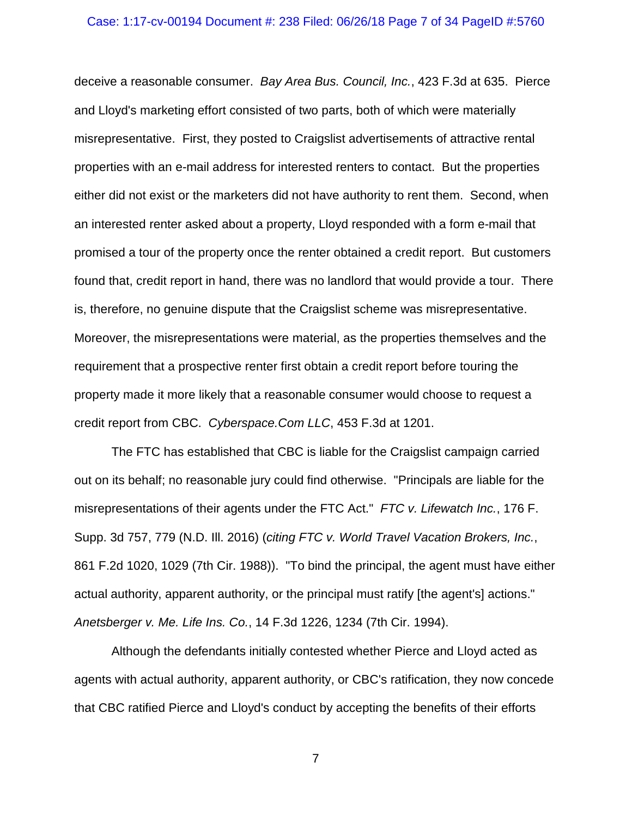### Case: 1:17-cv-00194 Document #: 238 Filed: 06/26/18 Page 7 of 34 PageID #:5760

deceive a reasonable consumer. *Bay Area Bus. Council, Inc.*, 423 F.3d at 635. Pierce and Lloyd's marketing effort consisted of two parts, both of which were materially misrepresentative. First, they posted to Craigslist advertisements of attractive rental properties with an e-mail address for interested renters to contact. But the properties either did not exist or the marketers did not have authority to rent them. Second, when an interested renter asked about a property, Lloyd responded with a form e-mail that promised a tour of the property once the renter obtained a credit report. But customers found that, credit report in hand, there was no landlord that would provide a tour. There is, therefore, no genuine dispute that the Craigslist scheme was misrepresentative. Moreover, the misrepresentations were material, as the properties themselves and the requirement that a prospective renter first obtain a credit report before touring the property made it more likely that a reasonable consumer would choose to request a credit report from CBC. *Cyberspace.Com LLC*, 453 F.3d at 1201.

The FTC has established that CBC is liable for the Craigslist campaign carried out on its behalf; no reasonable jury could find otherwise. "Principals are liable for the misrepresentations of their agents under the FTC Act." *FTC v. Lifewatch Inc.*, 176 F. Supp. 3d 757, 779 (N.D. Ill. 2016) (*citing FTC v. World Travel Vacation Brokers, Inc.*, 861 F.2d 1020, 1029 (7th Cir. 1988)). "To bind the principal, the agent must have either actual authority, apparent authority, or the principal must ratify [the agent's] actions." *Anetsberger v. Me. Life Ins. Co.*, 14 F.3d 1226, 1234 (7th Cir. 1994).

Although the defendants initially contested whether Pierce and Lloyd acted as agents with actual authority, apparent authority, or CBC's ratification, they now concede that CBC ratified Pierce and Lloyd's conduct by accepting the benefits of their efforts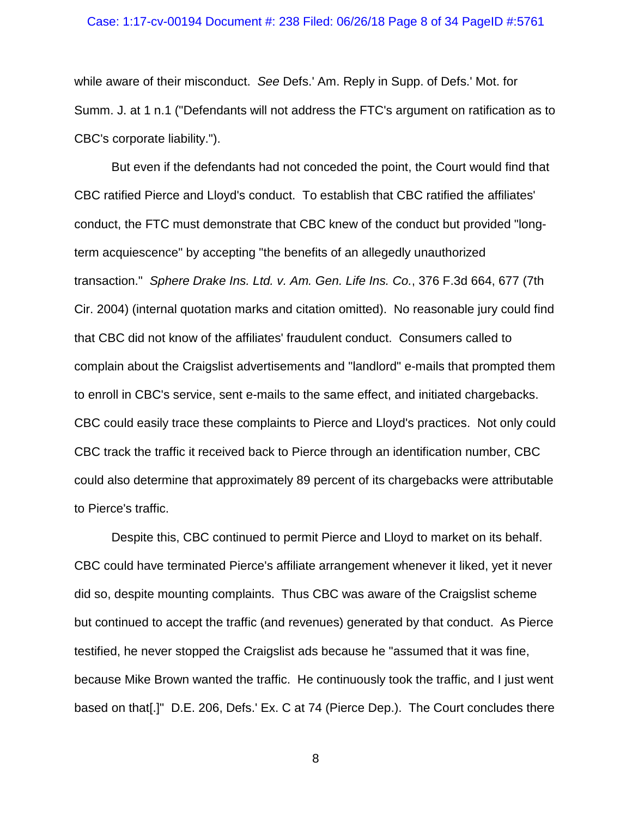#### Case: 1:17-cv-00194 Document #: 238 Filed: 06/26/18 Page 8 of 34 PageID #:5761

while aware of their misconduct. *See* Defs.' Am. Reply in Supp. of Defs.' Mot. for Summ. J. at 1 n.1 ("Defendants will not address the FTC's argument on ratification as to CBC's corporate liability.").

But even if the defendants had not conceded the point, the Court would find that CBC ratified Pierce and Lloyd's conduct. To establish that CBC ratified the affiliates' conduct, the FTC must demonstrate that CBC knew of the conduct but provided "longterm acquiescence" by accepting "the benefits of an allegedly unauthorized transaction." *Sphere Drake Ins. Ltd. v. Am. Gen. Life Ins. Co.*, 376 F.3d 664, 677 (7th Cir. 2004) (internal quotation marks and citation omitted). No reasonable jury could find that CBC did not know of the affiliates' fraudulent conduct. Consumers called to complain about the Craigslist advertisements and "landlord" e-mails that prompted them to enroll in CBC's service, sent e-mails to the same effect, and initiated chargebacks. CBC could easily trace these complaints to Pierce and Lloyd's practices. Not only could CBC track the traffic it received back to Pierce through an identification number, CBC could also determine that approximately 89 percent of its chargebacks were attributable to Pierce's traffic.

Despite this, CBC continued to permit Pierce and Lloyd to market on its behalf. CBC could have terminated Pierce's affiliate arrangement whenever it liked, yet it never did so, despite mounting complaints. Thus CBC was aware of the Craigslist scheme but continued to accept the traffic (and revenues) generated by that conduct. As Pierce testified, he never stopped the Craigslist ads because he "assumed that it was fine, because Mike Brown wanted the traffic. He continuously took the traffic, and I just went based on that[.]" D.E. 206, Defs.' Ex. C at 74 (Pierce Dep.). The Court concludes there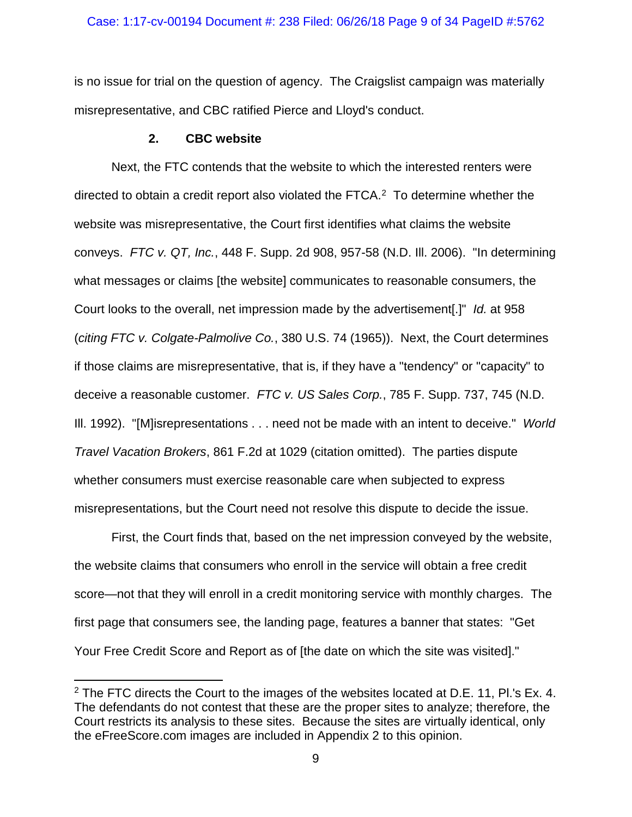is no issue for trial on the question of agency. The Craigslist campaign was materially misrepresentative, and CBC ratified Pierce and Lloyd's conduct.

## **2. CBC website**

Next, the FTC contends that the website to which the interested renters were directed to obtain a credit report also violated the FTCA. [2](#page-8-0) To determine whether the website was misrepresentative, the Court first identifies what claims the website conveys. *FTC v. QT, Inc.*, 448 F. Supp. 2d 908, 957-58 (N.D. Ill. 2006). "In determining what messages or claims [the website] communicates to reasonable consumers, the Court looks to the overall, net impression made by the advertisement[.]" *Id.* at 958 (*citing FTC v. Colgate-Palmolive Co.*, 380 U.S. 74 (1965)). Next, the Court determines if those claims are misrepresentative, that is, if they have a "tendency" or "capacity" to deceive a reasonable customer. *FTC v. US Sales Corp.*, 785 F. Supp. 737, 745 (N.D. Ill. 1992). "[M]isrepresentations . . . need not be made with an intent to deceive." *World Travel Vacation Brokers*, 861 F.2d at 1029 (citation omitted). The parties dispute whether consumers must exercise reasonable care when subjected to express misrepresentations, but the Court need not resolve this dispute to decide the issue.

First, the Court finds that, based on the net impression conveyed by the website, the website claims that consumers who enroll in the service will obtain a free credit score—not that they will enroll in a credit monitoring service with monthly charges. The first page that consumers see, the landing page, features a banner that states: "Get Your Free Credit Score and Report as of [the date on which the site was visited]."

<span id="page-8-0"></span> $2$  The FTC directs the Court to the images of the websites located at D.E. 11, Pl.'s Ex. 4. The defendants do not contest that these are the proper sites to analyze; therefore, the Court restricts its analysis to these sites. Because the sites are virtually identical, only the eFreeScore.com images are included in Appendix 2 to this opinion.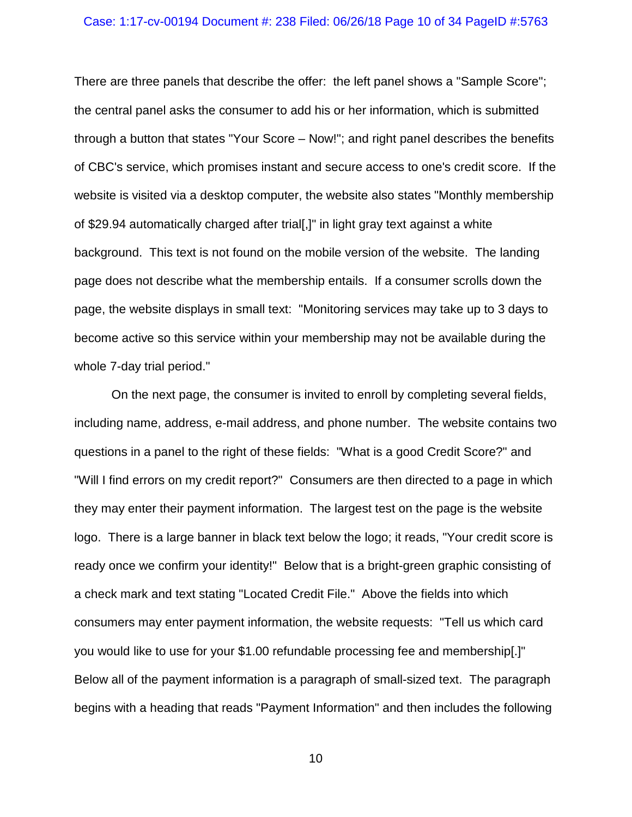### Case: 1:17-cv-00194 Document #: 238 Filed: 06/26/18 Page 10 of 34 PageID #:5763

There are three panels that describe the offer: the left panel shows a "Sample Score"; the central panel asks the consumer to add his or her information, which is submitted through a button that states "Your Score – Now!"; and right panel describes the benefits of CBC's service, which promises instant and secure access to one's credit score. If the website is visited via a desktop computer, the website also states "Monthly membership of \$29.94 automatically charged after trial[,]" in light gray text against a white background. This text is not found on the mobile version of the website. The landing page does not describe what the membership entails. If a consumer scrolls down the page, the website displays in small text: "Monitoring services may take up to 3 days to become active so this service within your membership may not be available during the whole 7-day trial period."

On the next page, the consumer is invited to enroll by completing several fields, including name, address, e-mail address, and phone number. The website contains two questions in a panel to the right of these fields: "What is a good Credit Score?" and "Will I find errors on my credit report?" Consumers are then directed to a page in which they may enter their payment information. The largest test on the page is the website logo. There is a large banner in black text below the logo; it reads, "Your credit score is ready once we confirm your identity!" Below that is a bright-green graphic consisting of a check mark and text stating "Located Credit File." Above the fields into which consumers may enter payment information, the website requests: "Tell us which card you would like to use for your \$1.00 refundable processing fee and membership[.]" Below all of the payment information is a paragraph of small-sized text. The paragraph begins with a heading that reads "Payment Information" and then includes the following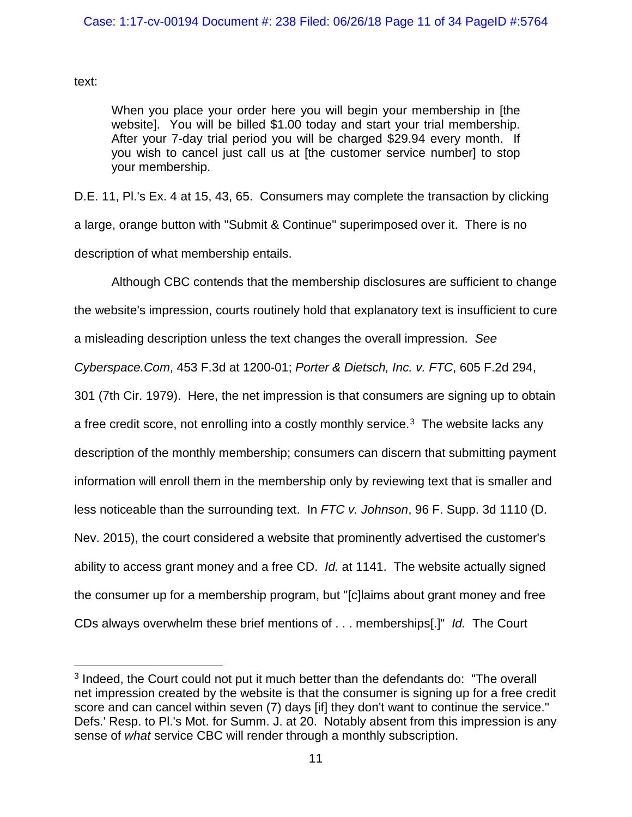text:

When you place your order here you will begin your membership in [the website]. You will be billed \$1.00 today and start your trial membership. After your 7-day trial period you will be charged \$29.94 every month. If you wish to cancel just call us at [the customer service number] to stop your membership.

D.E. 11, Pl.'s Ex. 4 at 15, 43, 65. Consumers may complete the transaction by clicking a large, orange button with "Submit & Continue" superimposed over it. There is no description of what membership entails.

Although CBC contends that the membership disclosures are sufficient to change the website's impression, courts routinely hold that explanatory text is insufficient to cure a misleading description unless the text changes the overall impression. *See Cyberspace.Com*, 453 F.3d at 1200-01; *Porter & Dietsch, Inc. v. FTC*, 605 F.2d 294, 301 (7th Cir. 1979). Here, the net impression is that consumers are signing up to obtain a free credit score, not enrolling into a costly monthly service.<sup>3</sup> The website lacks any description of the monthly membership; consumers can discern that submitting payment information will enroll them in the membership only by reviewing text that is smaller and less noticeable than the surrounding text. In *FTC v. Johnson*, 96 F. Supp. 3d 1110 (D. Nev. 2015), the court considered a website that prominently advertised the customer's ability to access grant money and a free CD. *Id.* at 1141. The website actually signed the consumer up for a membership program, but "[c]laims about grant money and free CDs always overwhelm these brief mentions of . . . memberships[.]" *Id.* The Court

<span id="page-10-0"></span> <sup>3</sup> Indeed, the Court could not put it much better than the defendants do: "The overall net impression created by the website is that the consumer is signing up for a free credit score and can cancel within seven (7) days [if] they don't want to continue the service." Defs.' Resp. to Pl.'s Mot. for Summ. J. at 20. Notably absent from this impression is any sense of *what* service CBC will render through a monthly subscription.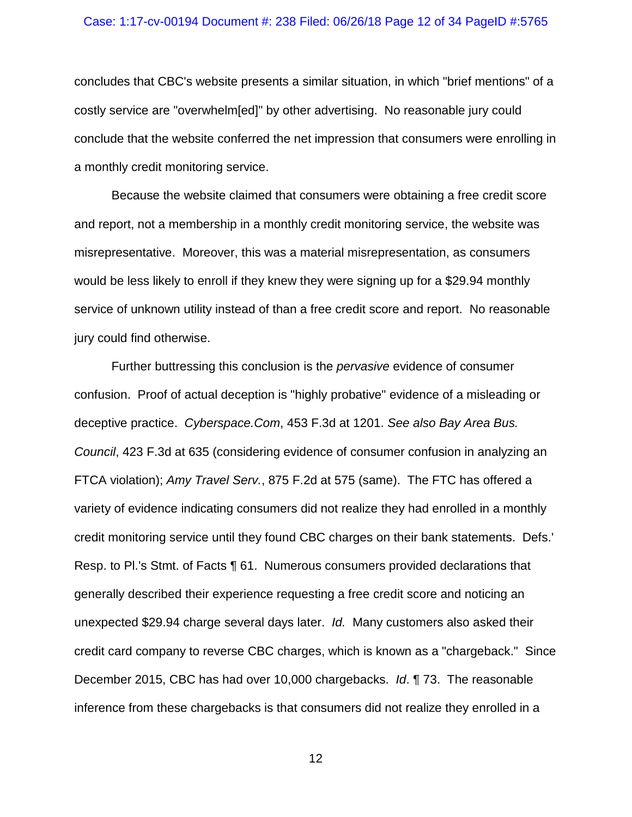#### Case: 1:17-cv-00194 Document #: 238 Filed: 06/26/18 Page 12 of 34 PageID #:5765

concludes that CBC's website presents a similar situation, in which "brief mentions" of a costly service are "overwhelm[ed]" by other advertising. No reasonable jury could conclude that the website conferred the net impression that consumers were enrolling in a monthly credit monitoring service.

Because the website claimed that consumers were obtaining a free credit score and report, not a membership in a monthly credit monitoring service, the website was misrepresentative. Moreover, this was a material misrepresentation, as consumers would be less likely to enroll if they knew they were signing up for a \$29.94 monthly service of unknown utility instead of than a free credit score and report. No reasonable jury could find otherwise.

Further buttressing this conclusion is the *pervasive* evidence of consumer confusion. Proof of actual deception is "highly probative" evidence of a misleading or deceptive practice. *Cyberspace.Com*, 453 F.3d at 1201. *See also Bay Area Bus. Council*, 423 F.3d at 635 (considering evidence of consumer confusion in analyzing an FTCA violation); *Amy Travel Serv.*, 875 F.2d at 575 (same). The FTC has offered a variety of evidence indicating consumers did not realize they had enrolled in a monthly credit monitoring service until they found CBC charges on their bank statements. Defs.' Resp. to Pl.'s Stmt. of Facts ¶ 61. Numerous consumers provided declarations that generally described their experience requesting a free credit score and noticing an unexpected \$29.94 charge several days later. *Id.* Many customers also asked their credit card company to reverse CBC charges, which is known as a "chargeback." Since December 2015, CBC has had over 10,000 chargebacks. *Id*. ¶ 73. The reasonable inference from these chargebacks is that consumers did not realize they enrolled in a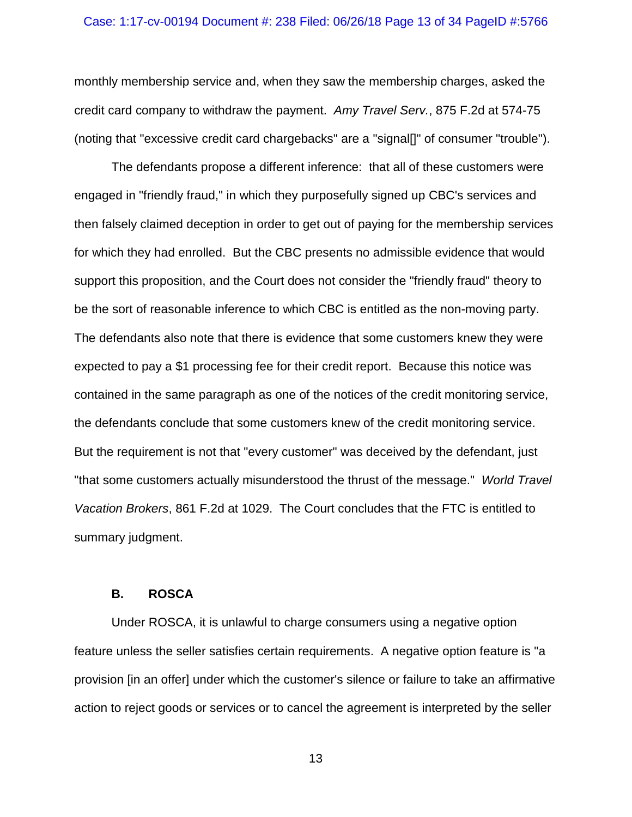### Case: 1:17-cv-00194 Document #: 238 Filed: 06/26/18 Page 13 of 34 PageID #:5766

monthly membership service and, when they saw the membership charges, asked the credit card company to withdraw the payment. *Amy Travel Serv.*, 875 F.2d at 574-75 (noting that "excessive credit card chargebacks" are a "signal[]" of consumer "trouble").

The defendants propose a different inference: that all of these customers were engaged in "friendly fraud," in which they purposefully signed up CBC's services and then falsely claimed deception in order to get out of paying for the membership services for which they had enrolled. But the CBC presents no admissible evidence that would support this proposition, and the Court does not consider the "friendly fraud" theory to be the sort of reasonable inference to which CBC is entitled as the non-moving party. The defendants also note that there is evidence that some customers knew they were expected to pay a \$1 processing fee for their credit report. Because this notice was contained in the same paragraph as one of the notices of the credit monitoring service, the defendants conclude that some customers knew of the credit monitoring service. But the requirement is not that "every customer" was deceived by the defendant, just "that some customers actually misunderstood the thrust of the message." *World Travel Vacation Brokers*, 861 F.2d at 1029. The Court concludes that the FTC is entitled to summary judgment.

## **B. ROSCA**

Under ROSCA, it is unlawful to charge consumers using a negative option feature unless the seller satisfies certain requirements. A negative option feature is "a provision [in an offer] under which the customer's silence or failure to take an affirmative action to reject goods or services or to cancel the agreement is interpreted by the seller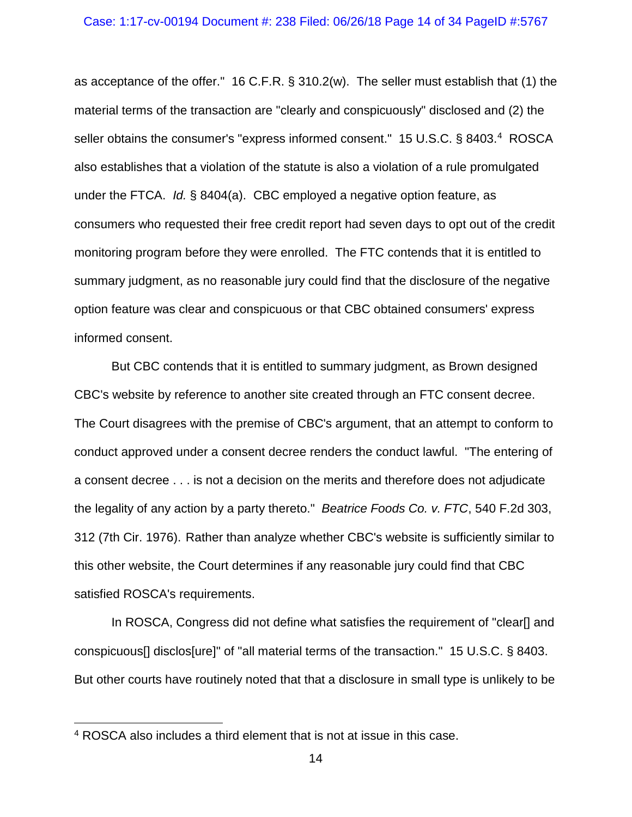### Case: 1:17-cv-00194 Document #: 238 Filed: 06/26/18 Page 14 of 34 PageID #:5767

as acceptance of the offer." 16 C.F.R. § 310.2(w). The seller must establish that (1) the material terms of the transaction are "clearly and conspicuously" disclosed and (2) the seller obtains the consumer's "express informed consent." 15 U.S.C. § 8403.[4](#page-13-0) ROSCA also establishes that a violation of the statute is also a violation of a rule promulgated under the FTCA. *Id.* § 8404(a). CBC employed a negative option feature, as consumers who requested their free credit report had seven days to opt out of the credit monitoring program before they were enrolled. The FTC contends that it is entitled to summary judgment, as no reasonable jury could find that the disclosure of the negative option feature was clear and conspicuous or that CBC obtained consumers' express informed consent.

But CBC contends that it is entitled to summary judgment, as Brown designed CBC's website by reference to another site created through an FTC consent decree. The Court disagrees with the premise of CBC's argument, that an attempt to conform to conduct approved under a consent decree renders the conduct lawful. "The entering of a consent decree . . . is not a decision on the merits and therefore does not adjudicate the legality of any action by a party thereto." *Beatrice Foods Co. v. FTC*, 540 F.2d 303, 312 (7th Cir. 1976). Rather than analyze whether CBC's website is sufficiently similar to this other website, the Court determines if any reasonable jury could find that CBC satisfied ROSCA's requirements.

In ROSCA, Congress did not define what satisfies the requirement of "clear[] and conspicuous[] disclos[ure]" of "all material terms of the transaction." 15 U.S.C. § 8403. But other courts have routinely noted that that a disclosure in small type is unlikely to be

<span id="page-13-0"></span> <sup>4</sup> ROSCA also includes a third element that is not at issue in this case.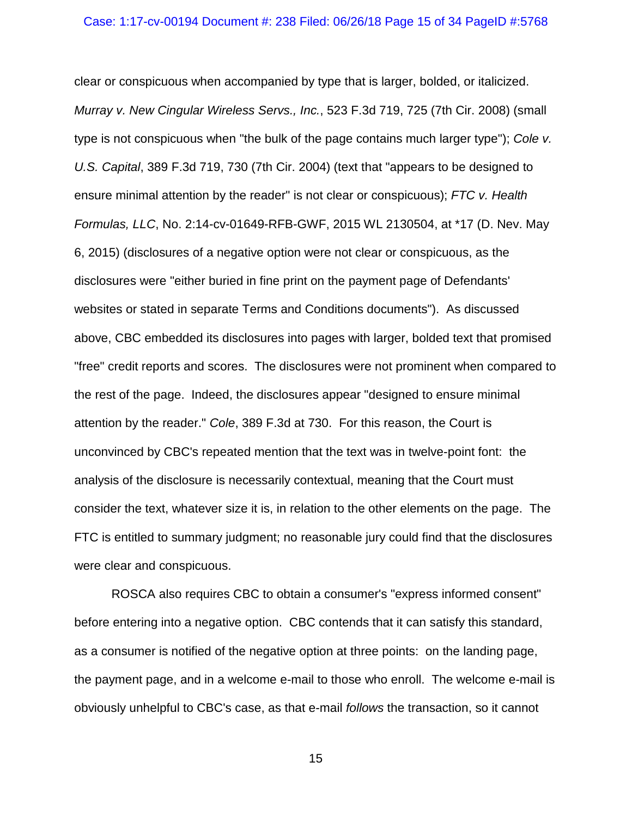clear or conspicuous when accompanied by type that is larger, bolded, or italicized. *Murray v. New Cingular Wireless Servs., Inc.*, 523 F.3d 719, 725 (7th Cir. 2008) (small type is not conspicuous when "the bulk of the page contains much larger type"); *Cole v. U.S. Capital*, 389 F.3d 719, 730 (7th Cir. 2004) (text that "appears to be designed to ensure minimal attention by the reader" is not clear or conspicuous); *FTC v. Health Formulas, LLC*, No. 2:14-cv-01649-RFB-GWF, 2015 WL 2130504, at \*17 (D. Nev. May 6, 2015) (disclosures of a negative option were not clear or conspicuous, as the disclosures were "either buried in fine print on the payment page of Defendants' websites or stated in separate Terms and Conditions documents"). As discussed above, CBC embedded its disclosures into pages with larger, bolded text that promised "free" credit reports and scores. The disclosures were not prominent when compared to the rest of the page. Indeed, the disclosures appear "designed to ensure minimal attention by the reader." *Cole*, 389 F.3d at 730. For this reason, the Court is unconvinced by CBC's repeated mention that the text was in twelve-point font: the analysis of the disclosure is necessarily contextual, meaning that the Court must consider the text, whatever size it is, in relation to the other elements on the page. The FTC is entitled to summary judgment; no reasonable jury could find that the disclosures were clear and conspicuous.

ROSCA also requires CBC to obtain a consumer's "express informed consent" before entering into a negative option. CBC contends that it can satisfy this standard, as a consumer is notified of the negative option at three points: on the landing page, the payment page, and in a welcome e-mail to those who enroll. The welcome e-mail is obviously unhelpful to CBC's case, as that e-mail *follows* the transaction, so it cannot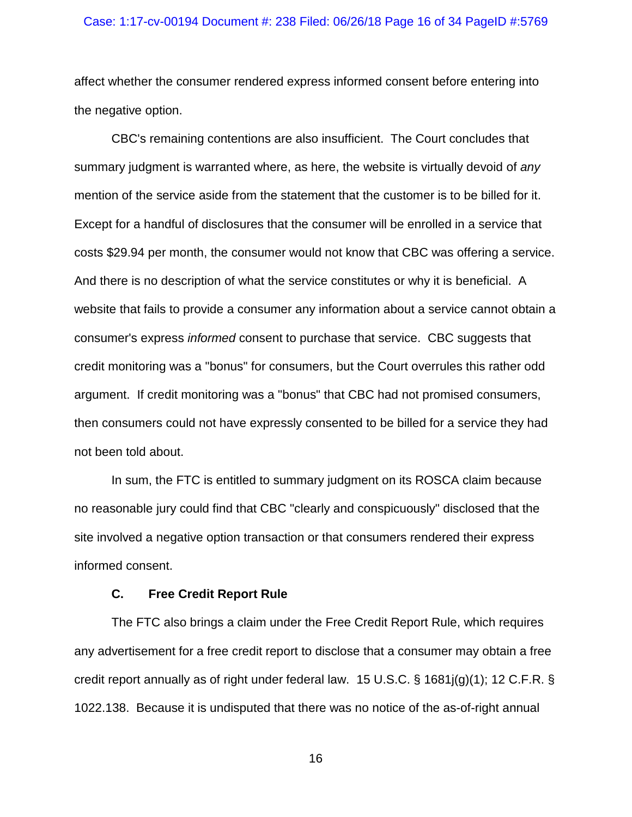### Case: 1:17-cv-00194 Document #: 238 Filed: 06/26/18 Page 16 of 34 PageID #:5769

affect whether the consumer rendered express informed consent before entering into the negative option.

CBC's remaining contentions are also insufficient. The Court concludes that summary judgment is warranted where, as here, the website is virtually devoid of *any* mention of the service aside from the statement that the customer is to be billed for it. Except for a handful of disclosures that the consumer will be enrolled in a service that costs \$29.94 per month, the consumer would not know that CBC was offering a service. And there is no description of what the service constitutes or why it is beneficial. A website that fails to provide a consumer any information about a service cannot obtain a consumer's express *informed* consent to purchase that service. CBC suggests that credit monitoring was a "bonus" for consumers, but the Court overrules this rather odd argument. If credit monitoring was a "bonus" that CBC had not promised consumers, then consumers could not have expressly consented to be billed for a service they had not been told about.

In sum, the FTC is entitled to summary judgment on its ROSCA claim because no reasonable jury could find that CBC "clearly and conspicuously" disclosed that the site involved a negative option transaction or that consumers rendered their express informed consent.

## **C. Free Credit Report Rule**

The FTC also brings a claim under the Free Credit Report Rule, which requires any advertisement for a free credit report to disclose that a consumer may obtain a free credit report annually as of right under federal law. 15 U.S.C. § 1681j(g)(1); 12 C.F.R. § 1022.138. Because it is undisputed that there was no notice of the as-of-right annual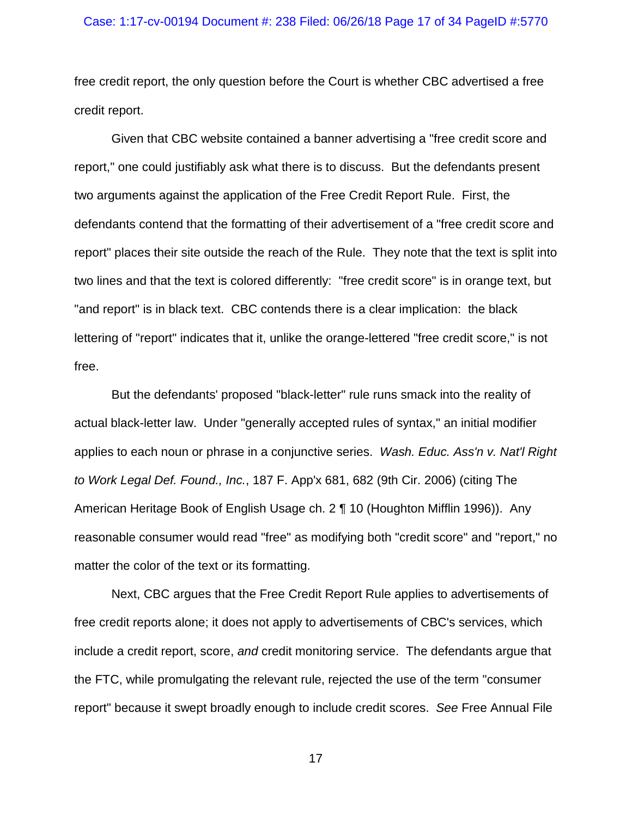#### Case: 1:17-cv-00194 Document #: 238 Filed: 06/26/18 Page 17 of 34 PageID #:5770

free credit report, the only question before the Court is whether CBC advertised a free credit report.

Given that CBC website contained a banner advertising a "free credit score and report," one could justifiably ask what there is to discuss. But the defendants present two arguments against the application of the Free Credit Report Rule. First, the defendants contend that the formatting of their advertisement of a "free credit score and report" places their site outside the reach of the Rule. They note that the text is split into two lines and that the text is colored differently: "free credit score" is in orange text, but "and report" is in black text. CBC contends there is a clear implication: the black lettering of "report" indicates that it, unlike the orange-lettered "free credit score," is not free.

But the defendants' proposed "black-letter" rule runs smack into the reality of actual black-letter law. Under "generally accepted rules of syntax," an initial modifier applies to each noun or phrase in a conjunctive series. *Wash. Educ. Ass'n v. Nat'l Right to Work Legal Def. Found., Inc.*, 187 F. App'x 681, 682 (9th Cir. 2006) (citing The American Heritage Book of English Usage ch. 2 ¶ 10 (Houghton Mifflin 1996)). Any reasonable consumer would read "free" as modifying both "credit score" and "report," no matter the color of the text or its formatting.

Next, CBC argues that the Free Credit Report Rule applies to advertisements of free credit reports alone; it does not apply to advertisements of CBC's services, which include a credit report, score, *and* credit monitoring service. The defendants argue that the FTC, while promulgating the relevant rule, rejected the use of the term "consumer report" because it swept broadly enough to include credit scores. *See* Free Annual File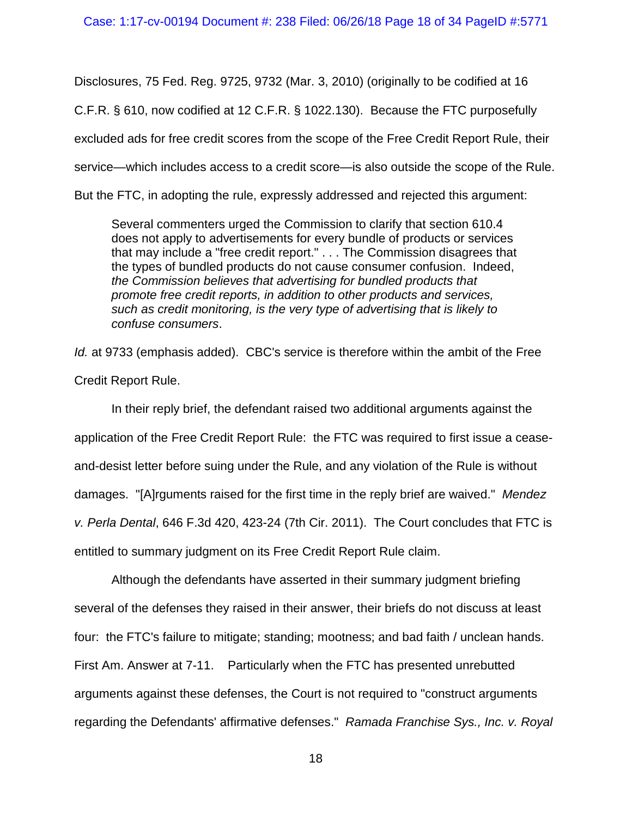Disclosures, 75 Fed. Reg. 9725, 9732 (Mar. 3, 2010) (originally to be codified at 16 C.F.R. § 610, now codified at 12 C.F.R. § 1022.130). Because the FTC purposefully excluded ads for free credit scores from the scope of the Free Credit Report Rule, their service—which includes access to a credit score—is also outside the scope of the Rule.

But the FTC, in adopting the rule, expressly addressed and rejected this argument:

Several commenters urged the Commission to clarify that section 610.4 does not apply to advertisements for every bundle of products or services that may include a "free credit report." . . . The Commission disagrees that the types of bundled products do not cause consumer confusion. Indeed, *the Commission believes that advertising for bundled products that promote free credit reports, in addition to other products and services, such as credit monitoring, is the very type of advertising that is likely to confuse consumers*.

*Id.* at 9733 (emphasis added). CBC's service is therefore within the ambit of the Free Credit Report Rule.

In their reply brief, the defendant raised two additional arguments against the application of the Free Credit Report Rule: the FTC was required to first issue a ceaseand-desist letter before suing under the Rule, and any violation of the Rule is without damages. "[A]rguments raised for the first time in the reply brief are waived." *Mendez v. Perla Dental*, 646 F.3d 420, 423-24 (7th Cir. 2011). The Court concludes that FTC is entitled to summary judgment on its Free Credit Report Rule claim.

Although the defendants have asserted in their summary judgment briefing several of the defenses they raised in their answer, their briefs do not discuss at least four: the FTC's failure to mitigate; standing; mootness; and bad faith / unclean hands. First Am. Answer at 7-11. Particularly when the FTC has presented unrebutted arguments against these defenses, the Court is not required to "construct arguments regarding the Defendants' affirmative defenses." *Ramada Franchise Sys., Inc. v. Royal*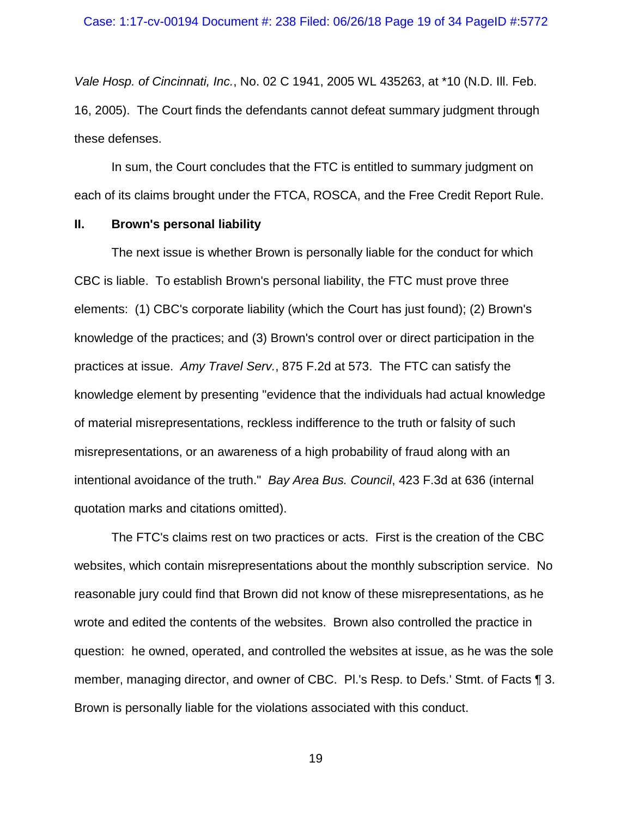*Vale Hosp. of Cincinnati, Inc.*, No. 02 C 1941, 2005 WL 435263, at \*10 (N.D. Ill. Feb. 16, 2005). The Court finds the defendants cannot defeat summary judgment through these defenses.

In sum, the Court concludes that the FTC is entitled to summary judgment on each of its claims brought under the FTCA, ROSCA, and the Free Credit Report Rule.

## **II. Brown's personal liability**

The next issue is whether Brown is personally liable for the conduct for which CBC is liable. To establish Brown's personal liability, the FTC must prove three elements: (1) CBC's corporate liability (which the Court has just found); (2) Brown's knowledge of the practices; and (3) Brown's control over or direct participation in the practices at issue. *Amy Travel Serv.*, 875 F.2d at 573. The FTC can satisfy the knowledge element by presenting "evidence that the individuals had actual knowledge of material misrepresentations, reckless indifference to the truth or falsity of such misrepresentations, or an awareness of a high probability of fraud along with an intentional avoidance of the truth." *Bay Area Bus. Council*, 423 F.3d at 636 (internal quotation marks and citations omitted).

The FTC's claims rest on two practices or acts. First is the creation of the CBC websites, which contain misrepresentations about the monthly subscription service. No reasonable jury could find that Brown did not know of these misrepresentations, as he wrote and edited the contents of the websites. Brown also controlled the practice in question: he owned, operated, and controlled the websites at issue, as he was the sole member, managing director, and owner of CBC. Pl.'s Resp. to Defs.' Stmt. of Facts ¶ 3. Brown is personally liable for the violations associated with this conduct.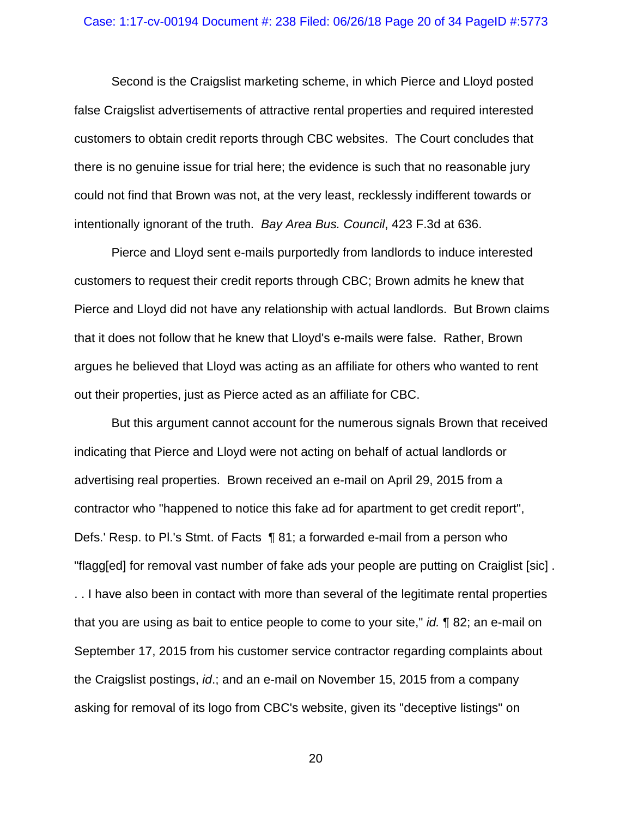#### Case: 1:17-cv-00194 Document #: 238 Filed: 06/26/18 Page 20 of 34 PageID #:5773

Second is the Craigslist marketing scheme, in which Pierce and Lloyd posted false Craigslist advertisements of attractive rental properties and required interested customers to obtain credit reports through CBC websites. The Court concludes that there is no genuine issue for trial here; the evidence is such that no reasonable jury could not find that Brown was not, at the very least, recklessly indifferent towards or intentionally ignorant of the truth. *Bay Area Bus. Council*, 423 F.3d at 636.

Pierce and Lloyd sent e-mails purportedly from landlords to induce interested customers to request their credit reports through CBC; Brown admits he knew that Pierce and Lloyd did not have any relationship with actual landlords. But Brown claims that it does not follow that he knew that Lloyd's e-mails were false. Rather, Brown argues he believed that Lloyd was acting as an affiliate for others who wanted to rent out their properties, just as Pierce acted as an affiliate for CBC.

But this argument cannot account for the numerous signals Brown that received indicating that Pierce and Lloyd were not acting on behalf of actual landlords or advertising real properties. Brown received an e-mail on April 29, 2015 from a contractor who "happened to notice this fake ad for apartment to get credit report", Defs.' Resp. to Pl.'s Stmt. of Facts ¶ 81; a forwarded e-mail from a person who "flagg[ed] for removal vast number of fake ads your people are putting on Craiglist [sic] . . . I have also been in contact with more than several of the legitimate rental properties that you are using as bait to entice people to come to your site," *id.* ¶ 82; an e-mail on September 17, 2015 from his customer service contractor regarding complaints about the Craigslist postings, *id*.; and an e-mail on November 15, 2015 from a company asking for removal of its logo from CBC's website, given its "deceptive listings" on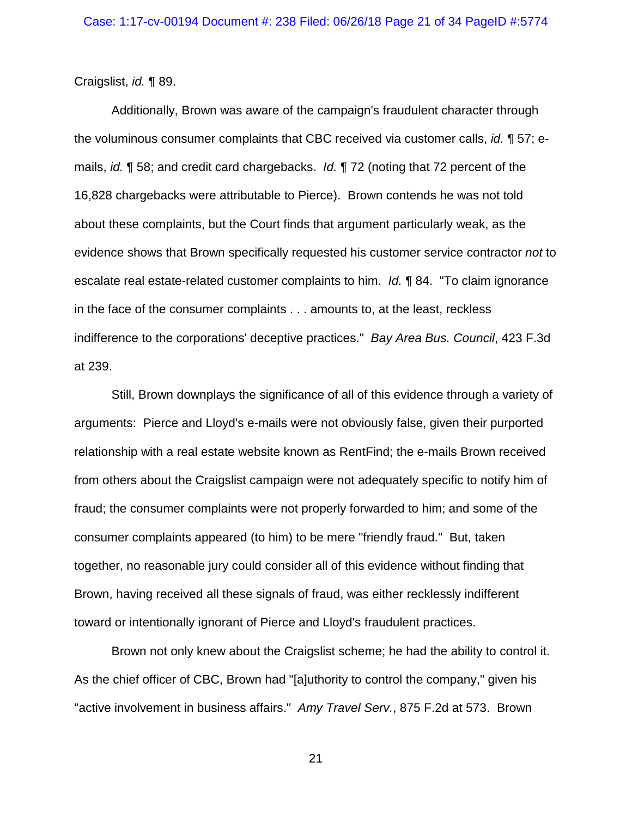Craigslist, *id.* ¶ 89.

Additionally, Brown was aware of the campaign's fraudulent character through the voluminous consumer complaints that CBC received via customer calls, *id.* ¶ 57; emails, *id.* ¶ 58; and credit card chargebacks. *Id.* ¶ 72 (noting that 72 percent of the 16,828 chargebacks were attributable to Pierce). Brown contends he was not told about these complaints, but the Court finds that argument particularly weak, as the evidence shows that Brown specifically requested his customer service contractor *not* to escalate real estate-related customer complaints to him. *Id.* ¶ 84. "To claim ignorance in the face of the consumer complaints . . . amounts to, at the least, reckless indifference to the corporations' deceptive practices." *Bay Area Bus. Council*, 423 F.3d at 239.

Still, Brown downplays the significance of all of this evidence through a variety of arguments: Pierce and Lloyd's e-mails were not obviously false, given their purported relationship with a real estate website known as RentFind; the e-mails Brown received from others about the Craigslist campaign were not adequately specific to notify him of fraud; the consumer complaints were not properly forwarded to him; and some of the consumer complaints appeared (to him) to be mere "friendly fraud." But, taken together, no reasonable jury could consider all of this evidence without finding that Brown, having received all these signals of fraud, was either recklessly indifferent toward or intentionally ignorant of Pierce and Lloyd's fraudulent practices.

Brown not only knew about the Craigslist scheme; he had the ability to control it. As the chief officer of CBC, Brown had "[a]uthority to control the company," given his "active involvement in business affairs." *Amy Travel Serv.*, 875 F.2d at 573. Brown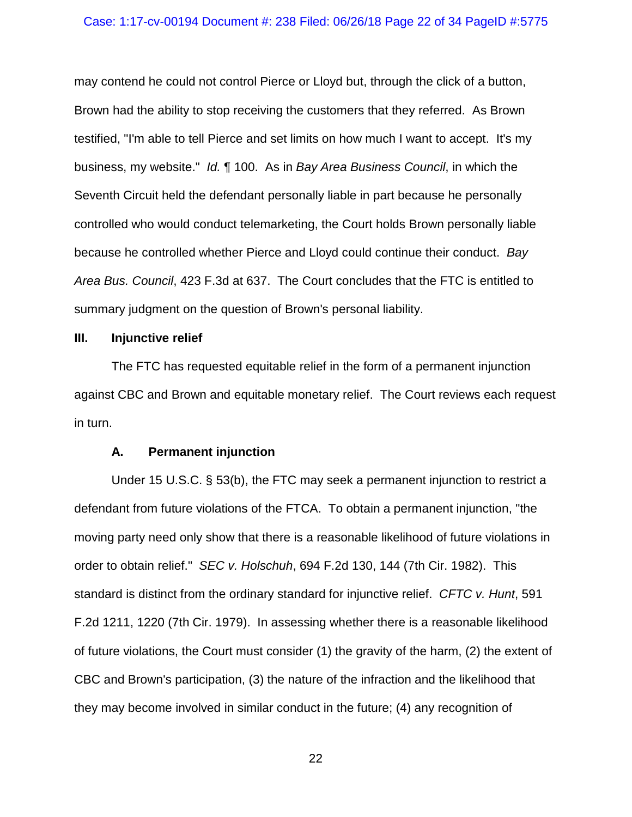### Case: 1:17-cv-00194 Document #: 238 Filed: 06/26/18 Page 22 of 34 PageID #:5775

may contend he could not control Pierce or Lloyd but, through the click of a button, Brown had the ability to stop receiving the customers that they referred. As Brown testified, "I'm able to tell Pierce and set limits on how much I want to accept. It's my business, my website." *Id.* ¶ 100. As in *Bay Area Business Council*, in which the Seventh Circuit held the defendant personally liable in part because he personally controlled who would conduct telemarketing, the Court holds Brown personally liable because he controlled whether Pierce and Lloyd could continue their conduct. *Bay Area Bus. Council*, 423 F.3d at 637. The Court concludes that the FTC is entitled to summary judgment on the question of Brown's personal liability.

### **III. Injunctive relief**

The FTC has requested equitable relief in the form of a permanent injunction against CBC and Brown and equitable monetary relief. The Court reviews each request in turn.

### **A. Permanent injunction**

Under 15 U.S.C. § 53(b), the FTC may seek a permanent injunction to restrict a defendant from future violations of the FTCA. To obtain a permanent injunction, "the moving party need only show that there is a reasonable likelihood of future violations in order to obtain relief." *SEC v. Holschuh*, 694 F.2d 130, 144 (7th Cir. 1982). This standard is distinct from the ordinary standard for injunctive relief. *CFTC v. Hunt*, 591 F.2d 1211, 1220 (7th Cir. 1979). In assessing whether there is a reasonable likelihood of future violations, the Court must consider (1) the gravity of the harm, (2) the extent of CBC and Brown's participation, (3) the nature of the infraction and the likelihood that they may become involved in similar conduct in the future; (4) any recognition of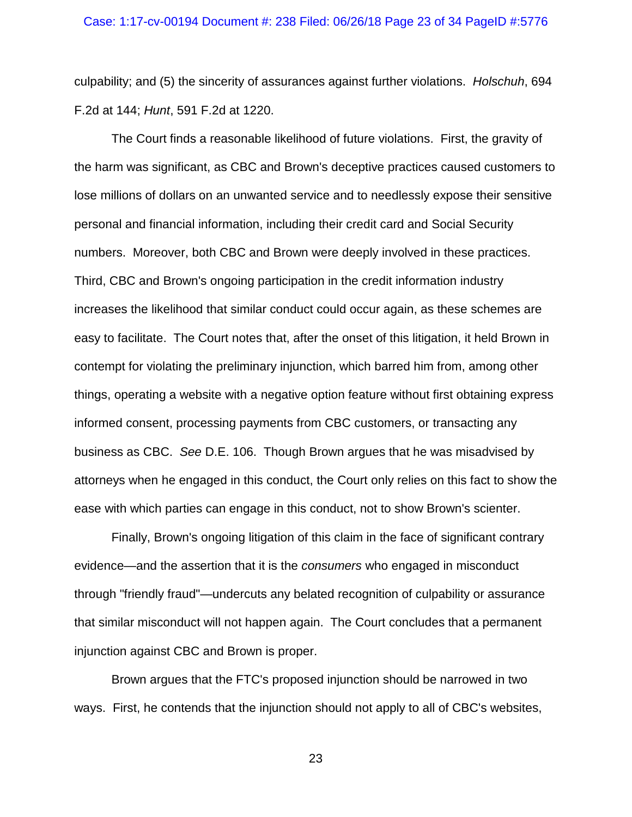#### Case: 1:17-cv-00194 Document #: 238 Filed: 06/26/18 Page 23 of 34 PageID #:5776

culpability; and (5) the sincerity of assurances against further violations. *Holschuh*, 694 F.2d at 144; *Hunt*, 591 F.2d at 1220.

The Court finds a reasonable likelihood of future violations. First, the gravity of the harm was significant, as CBC and Brown's deceptive practices caused customers to lose millions of dollars on an unwanted service and to needlessly expose their sensitive personal and financial information, including their credit card and Social Security numbers. Moreover, both CBC and Brown were deeply involved in these practices. Third, CBC and Brown's ongoing participation in the credit information industry increases the likelihood that similar conduct could occur again, as these schemes are easy to facilitate. The Court notes that, after the onset of this litigation, it held Brown in contempt for violating the preliminary injunction, which barred him from, among other things, operating a website with a negative option feature without first obtaining express informed consent, processing payments from CBC customers, or transacting any business as CBC. *See* D.E. 106. Though Brown argues that he was misadvised by attorneys when he engaged in this conduct, the Court only relies on this fact to show the ease with which parties can engage in this conduct, not to show Brown's scienter.

Finally, Brown's ongoing litigation of this claim in the face of significant contrary evidence—and the assertion that it is the *consumers* who engaged in misconduct through "friendly fraud"—undercuts any belated recognition of culpability or assurance that similar misconduct will not happen again. The Court concludes that a permanent injunction against CBC and Brown is proper.

Brown argues that the FTC's proposed injunction should be narrowed in two ways. First, he contends that the injunction should not apply to all of CBC's websites,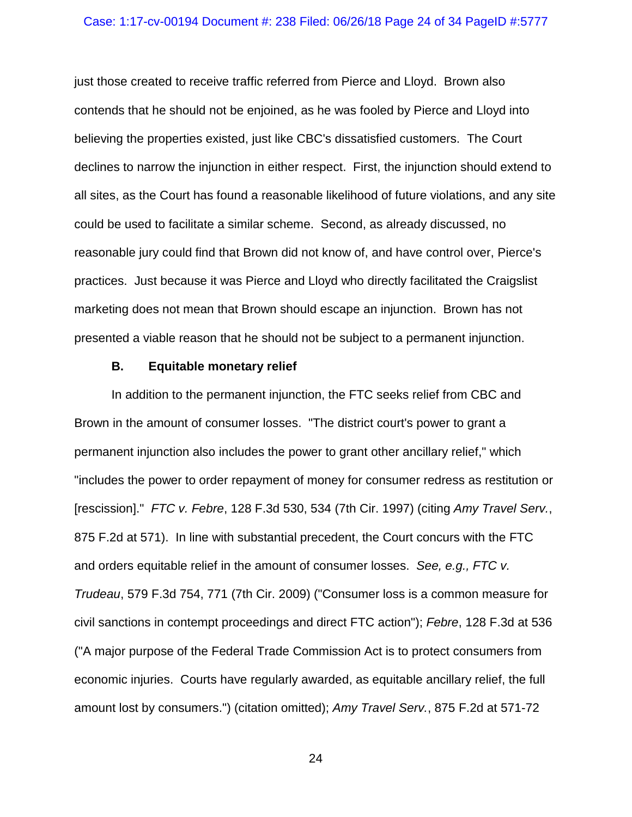### Case: 1:17-cv-00194 Document #: 238 Filed: 06/26/18 Page 24 of 34 PageID #:5777

just those created to receive traffic referred from Pierce and Lloyd. Brown also contends that he should not be enjoined, as he was fooled by Pierce and Lloyd into believing the properties existed, just like CBC's dissatisfied customers. The Court declines to narrow the injunction in either respect. First, the injunction should extend to all sites, as the Court has found a reasonable likelihood of future violations, and any site could be used to facilitate a similar scheme. Second, as already discussed, no reasonable jury could find that Brown did not know of, and have control over, Pierce's practices. Just because it was Pierce and Lloyd who directly facilitated the Craigslist marketing does not mean that Brown should escape an injunction. Brown has not presented a viable reason that he should not be subject to a permanent injunction.

### **B. Equitable monetary relief**

In addition to the permanent injunction, the FTC seeks relief from CBC and Brown in the amount of consumer losses. "The district court's power to grant a permanent injunction also includes the power to grant other ancillary relief," which "includes the power to order repayment of money for consumer redress as restitution or [rescission]." *FTC v. Febre*, 128 F.3d 530, 534 (7th Cir. 1997) (citing *Amy Travel Serv.*, 875 F.2d at 571). In line with substantial precedent, the Court concurs with the FTC and orders equitable relief in the amount of consumer losses. *See, e.g., FTC v. Trudeau*, 579 F.3d 754, 771 (7th Cir. 2009) ("Consumer loss is a common measure for civil sanctions in contempt proceedings and direct FTC action"); *Febre*, 128 F.3d at 536 ("A major purpose of the Federal Trade Commission Act is to protect consumers from economic injuries. Courts have regularly awarded, as equitable ancillary relief, the full amount lost by consumers.") (citation omitted); *Amy Travel Serv.*, 875 F.2d at 571-72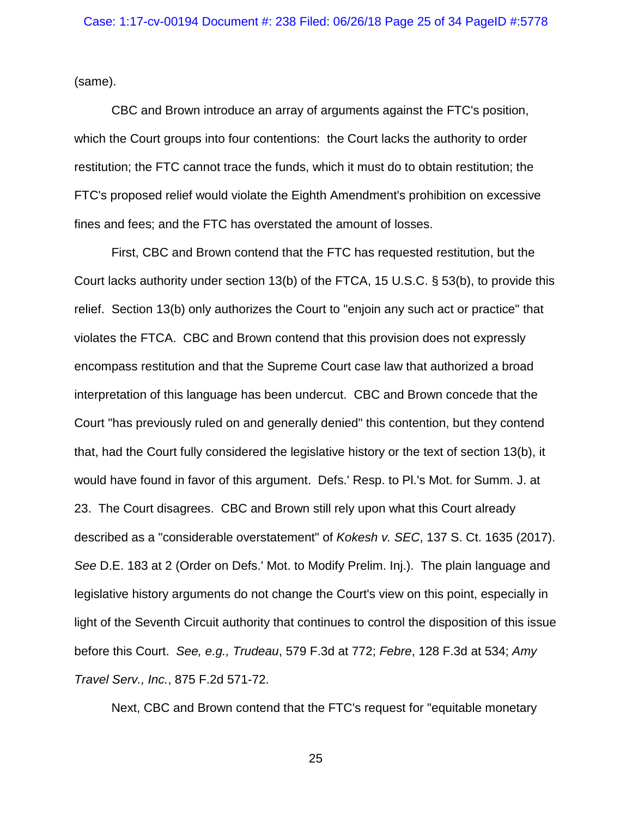(same).

CBC and Brown introduce an array of arguments against the FTC's position, which the Court groups into four contentions: the Court lacks the authority to order restitution; the FTC cannot trace the funds, which it must do to obtain restitution; the FTC's proposed relief would violate the Eighth Amendment's prohibition on excessive fines and fees; and the FTC has overstated the amount of losses.

First, CBC and Brown contend that the FTC has requested restitution, but the Court lacks authority under section 13(b) of the FTCA, 15 U.S.C. § 53(b), to provide this relief. Section 13(b) only authorizes the Court to "enjoin any such act or practice" that violates the FTCA. CBC and Brown contend that this provision does not expressly encompass restitution and that the Supreme Court case law that authorized a broad interpretation of this language has been undercut. CBC and Brown concede that the Court "has previously ruled on and generally denied" this contention, but they contend that, had the Court fully considered the legislative history or the text of section 13(b), it would have found in favor of this argument. Defs.' Resp. to Pl.'s Mot. for Summ. J. at 23. The Court disagrees. CBC and Brown still rely upon what this Court already described as a "considerable overstatement" of *Kokesh v. SEC*, 137 S. Ct. 1635 (2017). *See* D.E. 183 at 2 (Order on Defs.' Mot. to Modify Prelim. Inj.). The plain language and legislative history arguments do not change the Court's view on this point, especially in light of the Seventh Circuit authority that continues to control the disposition of this issue before this Court. *See, e.g., Trudeau*, 579 F.3d at 772; *Febre*, 128 F.3d at 534; *Amy Travel Serv., Inc.*, 875 F.2d 571-72.

Next, CBC and Brown contend that the FTC's request for "equitable monetary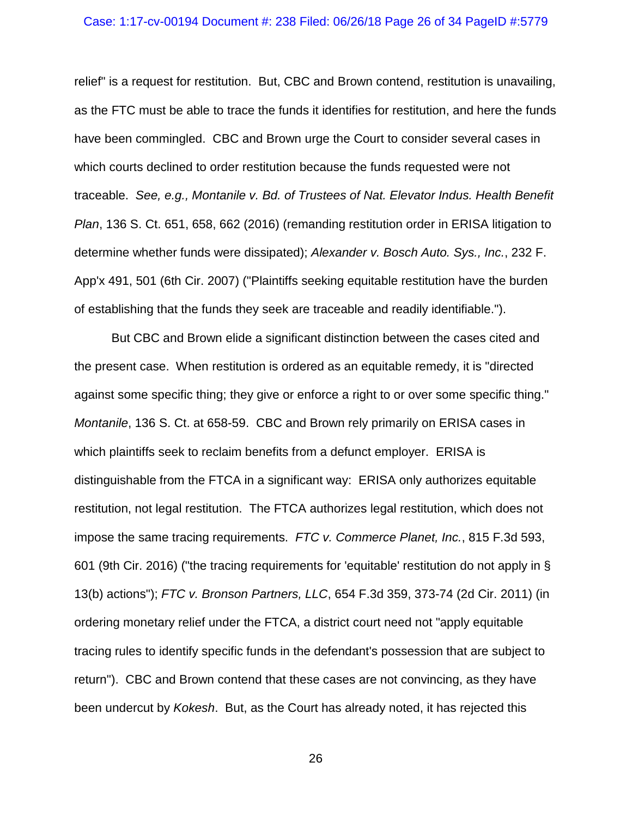#### Case: 1:17-cv-00194 Document #: 238 Filed: 06/26/18 Page 26 of 34 PageID #:5779

relief" is a request for restitution. But, CBC and Brown contend, restitution is unavailing, as the FTC must be able to trace the funds it identifies for restitution, and here the funds have been commingled. CBC and Brown urge the Court to consider several cases in which courts declined to order restitution because the funds requested were not traceable. *See, e.g., Montanile v. Bd. of Trustees of Nat. Elevator Indus. Health Benefit Plan*, 136 S. Ct. 651, 658, 662 (2016) (remanding restitution order in ERISA litigation to determine whether funds were dissipated); *Alexander v. Bosch Auto. Sys., Inc.*, 232 F. App'x 491, 501 (6th Cir. 2007) ("Plaintiffs seeking equitable restitution have the burden of establishing that the funds they seek are traceable and readily identifiable.").

But CBC and Brown elide a significant distinction between the cases cited and the present case. When restitution is ordered as an equitable remedy, it is "directed against some specific thing; they give or enforce a right to or over some specific thing." *Montanile*, 136 S. Ct. at 658-59. CBC and Brown rely primarily on ERISA cases in which plaintiffs seek to reclaim benefits from a defunct employer. ERISA is distinguishable from the FTCA in a significant way: ERISA only authorizes equitable restitution, not legal restitution. The FTCA authorizes legal restitution, which does not impose the same tracing requirements. *FTC v. Commerce Planet, Inc.*, 815 F.3d 593, 601 (9th Cir. 2016) ("the tracing requirements for 'equitable' restitution do not apply in § 13(b) actions"); *FTC v. Bronson Partners, LLC*, 654 F.3d 359, 373-74 (2d Cir. 2011) (in ordering monetary relief under the FTCA, a district court need not "apply equitable tracing rules to identify specific funds in the defendant's possession that are subject to return"). CBC and Brown contend that these cases are not convincing, as they have been undercut by *Kokesh*. But, as the Court has already noted, it has rejected this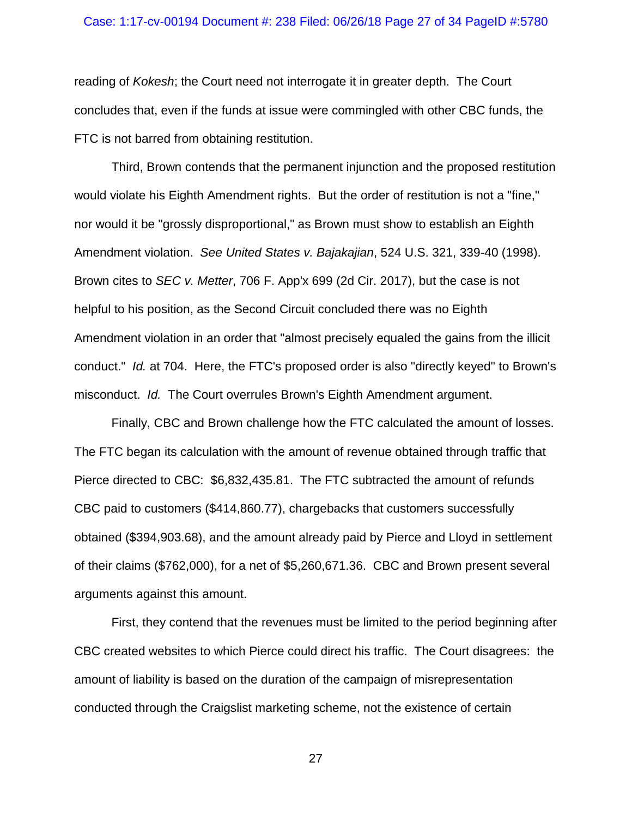#### Case: 1:17-cv-00194 Document #: 238 Filed: 06/26/18 Page 27 of 34 PageID #:5780

reading of *Kokesh*; the Court need not interrogate it in greater depth. The Court concludes that, even if the funds at issue were commingled with other CBC funds, the FTC is not barred from obtaining restitution.

Third, Brown contends that the permanent injunction and the proposed restitution would violate his Eighth Amendment rights. But the order of restitution is not a "fine," nor would it be "grossly disproportional," as Brown must show to establish an Eighth Amendment violation. *See United States v. Bajakajian*, 524 U.S. 321, 339-40 (1998). Brown cites to *SEC v. Metter*, 706 F. App'x 699 (2d Cir. 2017), but the case is not helpful to his position, as the Second Circuit concluded there was no Eighth Amendment violation in an order that "almost precisely equaled the gains from the illicit conduct." *Id.* at 704. Here, the FTC's proposed order is also "directly keyed" to Brown's misconduct. *Id.* The Court overrules Brown's Eighth Amendment argument.

Finally, CBC and Brown challenge how the FTC calculated the amount of losses. The FTC began its calculation with the amount of revenue obtained through traffic that Pierce directed to CBC: \$6,832,435.81. The FTC subtracted the amount of refunds CBC paid to customers (\$414,860.77), chargebacks that customers successfully obtained (\$394,903.68), and the amount already paid by Pierce and Lloyd in settlement of their claims (\$762,000), for a net of \$5,260,671.36. CBC and Brown present several arguments against this amount.

First, they contend that the revenues must be limited to the period beginning after CBC created websites to which Pierce could direct his traffic. The Court disagrees: the amount of liability is based on the duration of the campaign of misrepresentation conducted through the Craigslist marketing scheme, not the existence of certain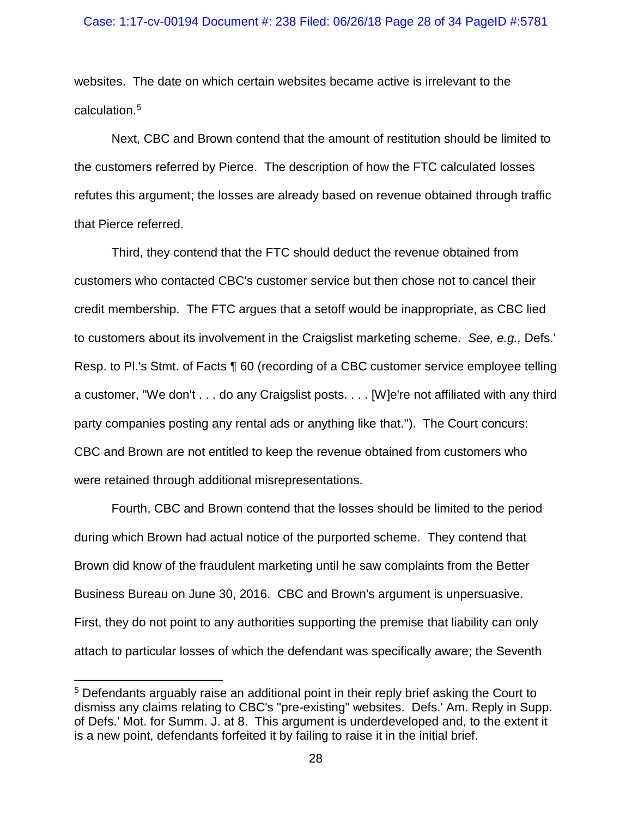### Case: 1:17-cv-00194 Document #: 238 Filed: 06/26/18 Page 28 of 34 PageID #:5781

websites. The date on which certain websites became active is irrelevant to the calculation.[5](#page-27-0)

Next, CBC and Brown contend that the amount of restitution should be limited to the customers referred by Pierce. The description of how the FTC calculated losses refutes this argument; the losses are already based on revenue obtained through traffic that Pierce referred.

Third, they contend that the FTC should deduct the revenue obtained from customers who contacted CBC's customer service but then chose not to cancel their credit membership. The FTC argues that a setoff would be inappropriate, as CBC lied to customers about its involvement in the Craigslist marketing scheme. *See, e.g.,* Defs.' Resp. to Pl.'s Stmt. of Facts ¶ 60 (recording of a CBC customer service employee telling a customer, "We don't . . . do any Craigslist posts. . . . [W]e're not affiliated with any third party companies posting any rental ads or anything like that."). The Court concurs: CBC and Brown are not entitled to keep the revenue obtained from customers who were retained through additional misrepresentations.

Fourth, CBC and Brown contend that the losses should be limited to the period during which Brown had actual notice of the purported scheme. They contend that Brown did know of the fraudulent marketing until he saw complaints from the Better Business Bureau on June 30, 2016. CBC and Brown's argument is unpersuasive. First, they do not point to any authorities supporting the premise that liability can only attach to particular losses of which the defendant was specifically aware; the Seventh

<span id="page-27-0"></span> <sup>5</sup> Defendants arguably raise an additional point in their reply brief asking the Court to dismiss any claims relating to CBC's "pre-existing" websites. Defs.' Am. Reply in Supp. of Defs.' Mot. for Summ. J. at 8. This argument is underdeveloped and, to the extent it is a new point, defendants forfeited it by failing to raise it in the initial brief.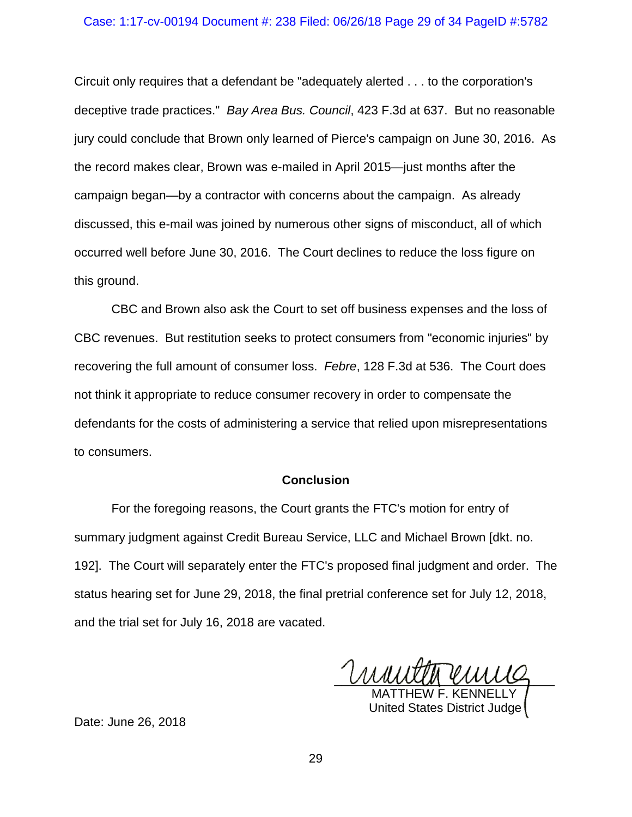### Case: 1:17-cv-00194 Document #: 238 Filed: 06/26/18 Page 29 of 34 PageID #:5782

Circuit only requires that a defendant be "adequately alerted . . . to the corporation's deceptive trade practices." *Bay Area Bus. Council*, 423 F.3d at 637. But no reasonable jury could conclude that Brown only learned of Pierce's campaign on June 30, 2016. As the record makes clear, Brown was e-mailed in April 2015—just months after the campaign began—by a contractor with concerns about the campaign. As already discussed, this e-mail was joined by numerous other signs of misconduct, all of which occurred well before June 30, 2016. The Court declines to reduce the loss figure on this ground.

CBC and Brown also ask the Court to set off business expenses and the loss of CBC revenues. But restitution seeks to protect consumers from "economic injuries" by recovering the full amount of consumer loss. *Febre*, 128 F.3d at 536. The Court does not think it appropriate to reduce consumer recovery in order to compensate the defendants for the costs of administering a service that relied upon misrepresentations to consumers.

## **Conclusion**

For the foregoing reasons, the Court grants the FTC's motion for entry of summary judgment against Credit Bureau Service, LLC and Michael Brown [dkt. no. 192]. The Court will separately enter the FTC's proposed final judgment and order. The status hearing set for June 29, 2018, the final pretrial conference set for July 12, 2018, and the trial set for July 16, 2018 are vacated.

anney emis

MATTHEW F. KENNELLY United States District Judge

Date: June 26, 2018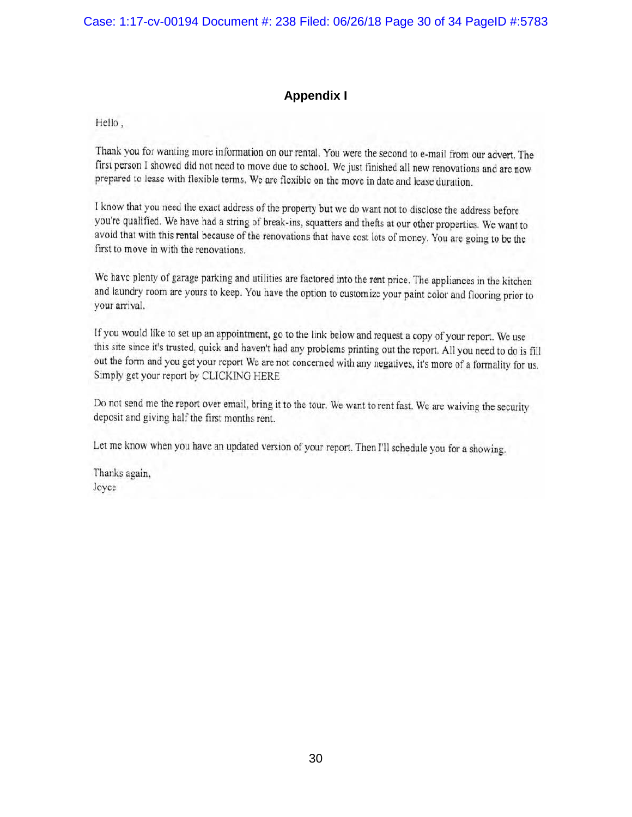# **Appendix I**

Hello,

Thank you for wanting more information on our rental. You were the second to e-mail from our advert. The first person I showed did not need to move due to school. We just finished all new renovations and are now prepared to lease with flexible terms. We are flexible on the move in date and lease duration.

I know that you need the exact address of the property but we do want not to disclose the address before you're qualified. We have had a string of break-ins, squatters and thefts at our other properties. We want to avoid that with this rental because of the renovations that have cost lots of money. You are going to be the first to move in with the renovations.

We have plenty of garage parking and utilities are factored into the rent price. The appliances in the kitchen and laundry room are yours to keep. You have the option to customize your paint color and flooring prior to your arrival.

If you would like to set up an appointment, go to the link below and request a copy of your report. We use this site since it's trusted, quick and haven't had any problems printing out the report. All you need to do is fill out the form and you get your report We are not concerned with any negatives, it's more of a formality for us. Simply get your report by CLICKING HERE

Do not send me the report over email, bring it to the tour. We want to rent fast. We are waiving the security deposit and giving half the first months rent.

Let me know when you have an updated version of your report. Then I'll schedule you for a showing.

Thanks again, Joyce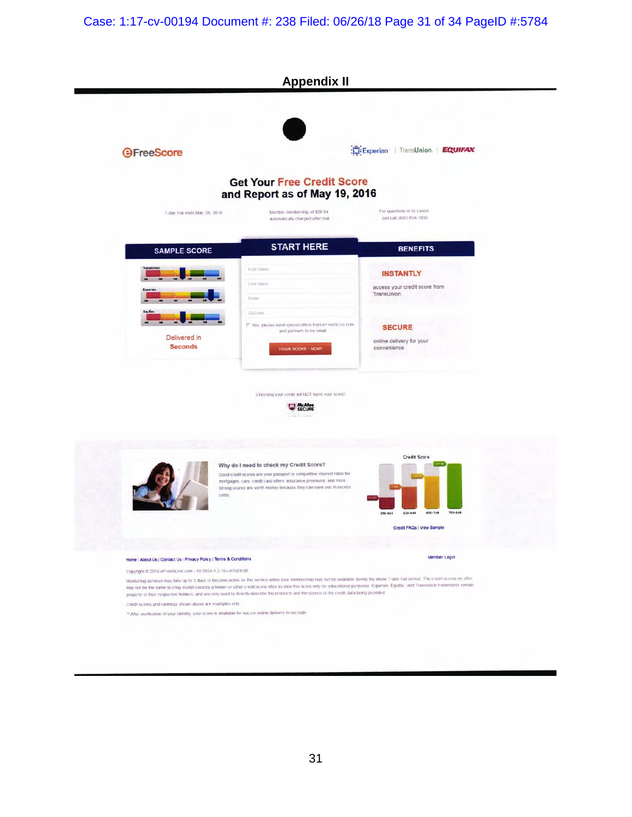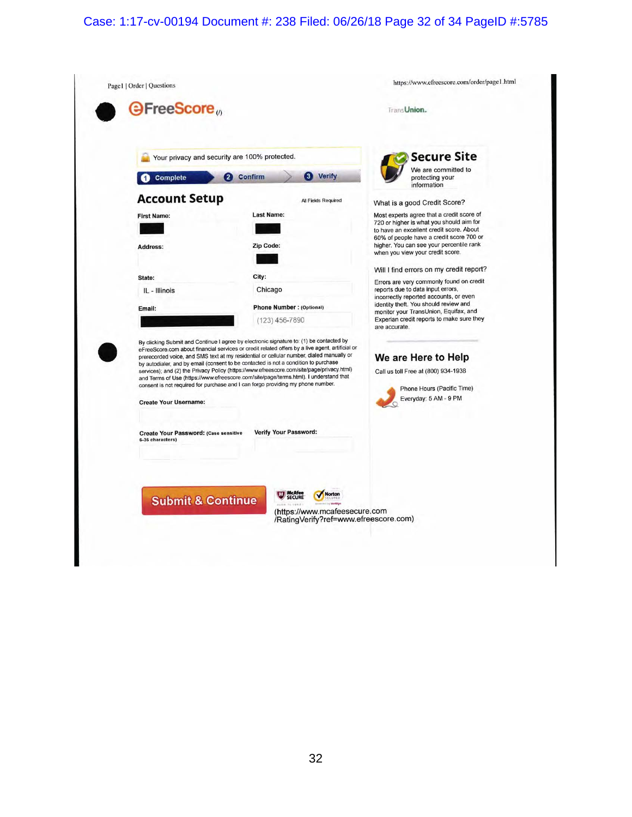## Case: 1:17-cv-00194 Document #: 238 Filed: 06/26/18 Page 32 of 34 PageID #:5785

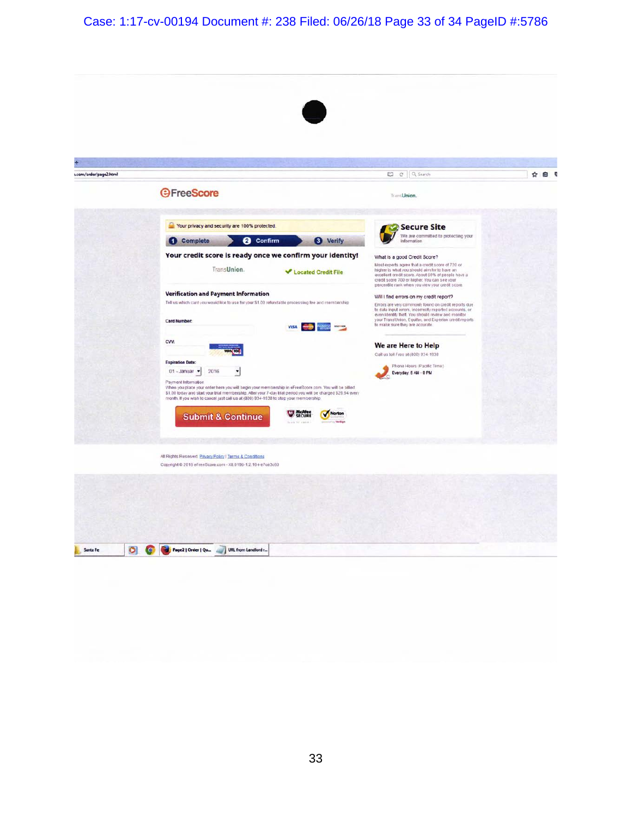Case: 1:17-cv-00194 Document #: 238 Filed: 06/26/18 Page 33 of 34 PageID #:5786